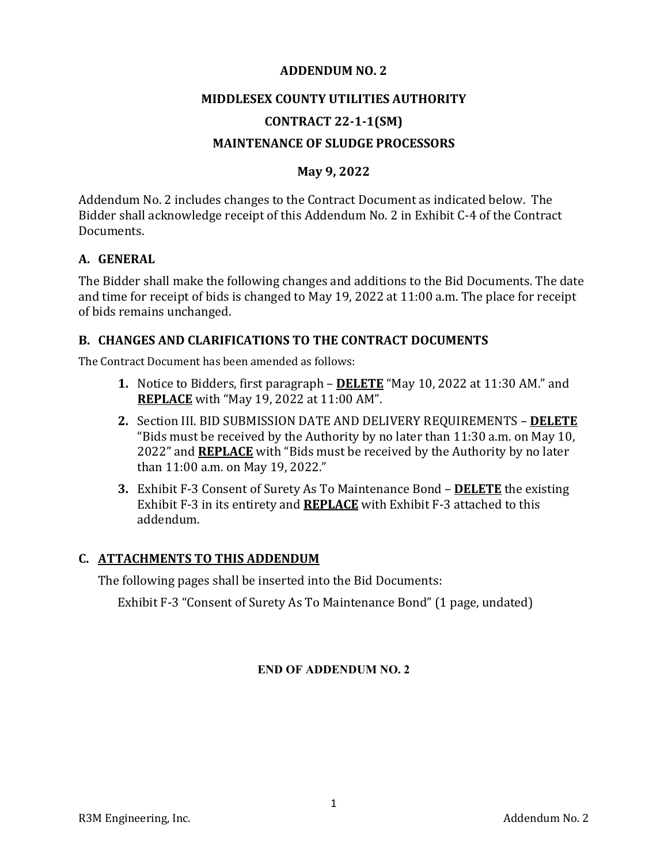#### **ADDENDUM NO. 2**

#### **MIDDLESEX COUNTY UTILITIES AUTHORITY**

## **CONTRACT 22‐1‐1(SM)**

### **MAINTENANCE OF SLUDGE PROCESSORS**

### **May 9, 2022**

Addendum No. 2 includes changes to the Contract Document as indicated below. The Bidder shall acknowledge receipt of this Addendum No. 2 in Exhibit C-4 of the Contract Documents.

#### **A. GENERAL**

The Bidder shall make the following changes and additions to the Bid Documents. The date and time for receipt of bids is changed to May 19, 2022 at 11:00 a.m. The place for receipt of bids remains unchanged.

#### **B. CHANGES AND CLARIFICATIONS TO THE CONTRACT DOCUMENTS**

The Contract Document has been amended as follows:

- **1.** Notice to Bidders, first paragraph **DELETE** "May 10, 2022 at 11:30 AM." and **REPLACE** with "May 19, 2022 at 11:00 AM".
- **2.** Section III. BID SUBMISSION DATE AND DELIVERY REQUIREMENTS **DELETE** "Bids must be received by the Authority by no later than 11:30 a.m. on May 10, 2022" and **REPLACE** with "Bids must be received by the Authority by no later than 11:00 a.m. on May 19, 2022."
- **3.** Exhibit F-3 Consent of Surety As To Maintenance Bond **DELETE** the existing Exhibit F-3 in its entirety and **REPLACE** with Exhibit F-3 attached to this addendum.

#### **C. ATTACHMENTS TO THIS ADDENDUM**

The following pages shall be inserted into the Bid Documents:

Exhibit F-3 "Consent of Surety As To Maintenance Bond" (1 page, undated)

#### **END OF ADDENDUM NO. 2**